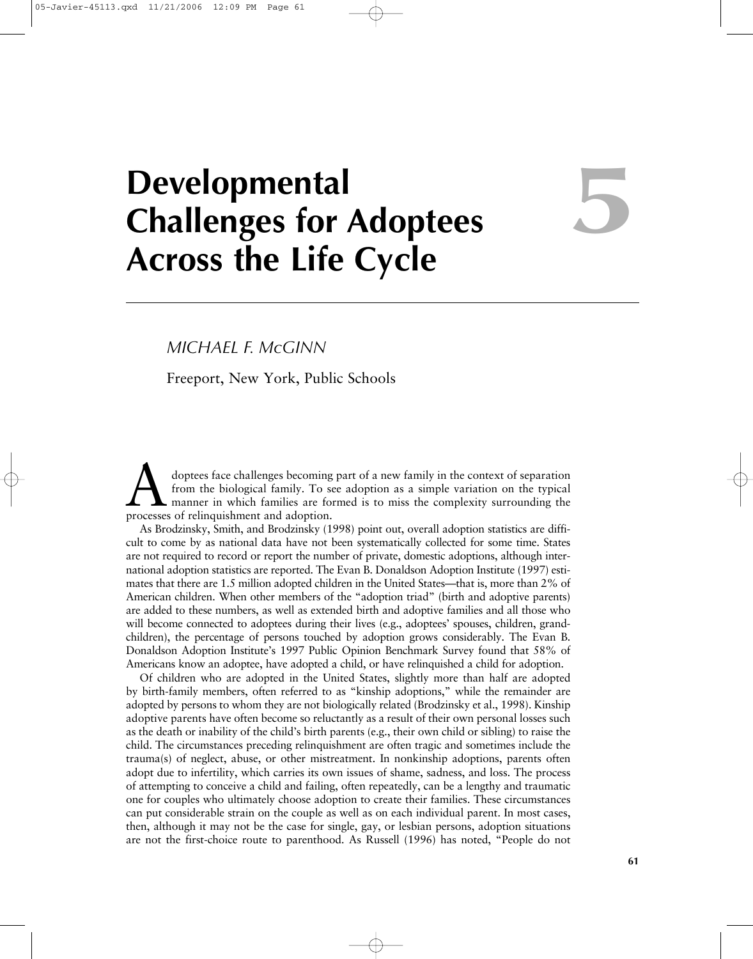# **5**

### *MICHAEL F. McGINN*

Freeport, New York, Public Schools

doptees face challenges becoming part of a new family in the context of separation from the biological family. To see adoption as a simple variation on the typical manner in which families are formed is to miss the complex from the biological family. To see adoption as a simple variation on the typical manner in which families are formed is to miss the complexity surrounding the processes of relinquishment and adoption.

As Brodzinsky, Smith, and Brodzinsky (1998) point out, overall adoption statistics are difficult to come by as national data have not been systematically collected for some time. States are not required to record or report the number of private, domestic adoptions, although international adoption statistics are reported. The Evan B. Donaldson Adoption Institute (1997) estimates that there are 1.5 million adopted children in the United States—that is, more than 2% of American children. When other members of the "adoption triad" (birth and adoptive parents) are added to these numbers, as well as extended birth and adoptive families and all those who will become connected to adoptees during their lives (e.g., adoptees' spouses, children, grandchildren), the percentage of persons touched by adoption grows considerably. The Evan B. Donaldson Adoption Institute's 1997 Public Opinion Benchmark Survey found that 58% of Americans know an adoptee, have adopted a child, or have relinquished a child for adoption.

Of children who are adopted in the United States, slightly more than half are adopted by birth-family members, often referred to as "kinship adoptions," while the remainder are adopted by persons to whom they are not biologically related (Brodzinsky et al., 1998). Kinship adoptive parents have often become so reluctantly as a result of their own personal losses such as the death or inability of the child's birth parents (e.g., their own child or sibling) to raise the child. The circumstances preceding relinquishment are often tragic and sometimes include the trauma(s) of neglect, abuse, or other mistreatment. In nonkinship adoptions, parents often adopt due to infertility, which carries its own issues of shame, sadness, and loss. The process of attempting to conceive a child and failing, often repeatedly, can be a lengthy and traumatic one for couples who ultimately choose adoption to create their families. These circumstances can put considerable strain on the couple as well as on each individual parent. In most cases, then, although it may not be the case for single, gay, or lesbian persons, adoption situations are not the first-choice route to parenthood. As Russell (1996) has noted, "People do not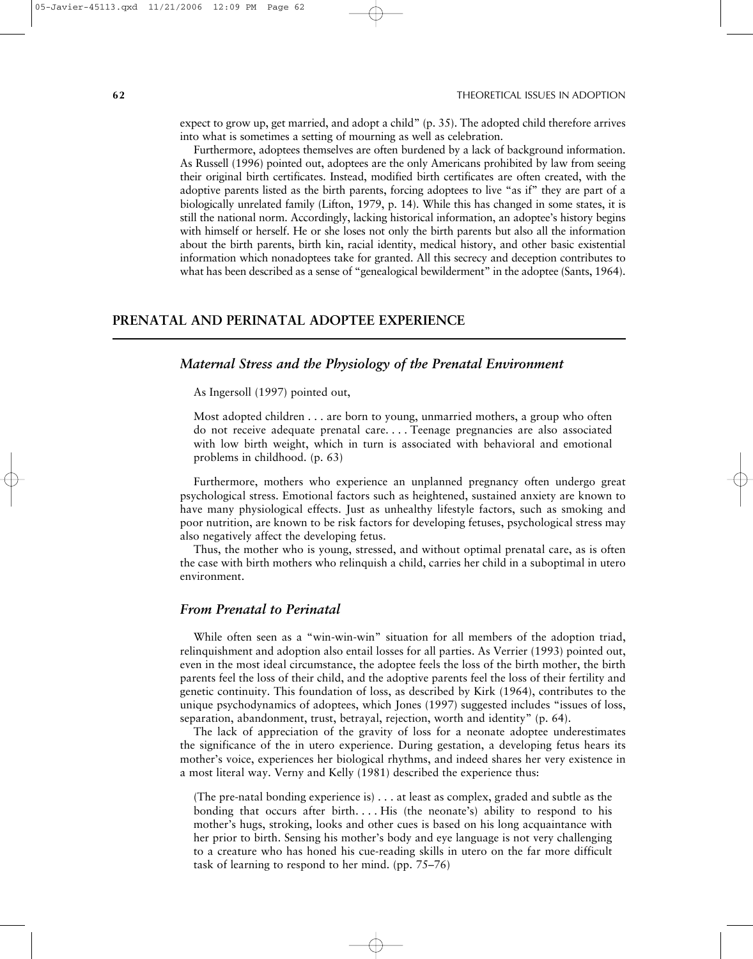expect to grow up, get married, and adopt a child" (p. 35). The adopted child therefore arrives into what is sometimes a setting of mourning as well as celebration.

Furthermore, adoptees themselves are often burdened by a lack of background information. As Russell (1996) pointed out, adoptees are the only Americans prohibited by law from seeing their original birth certificates. Instead, modified birth certificates are often created, with the adoptive parents listed as the birth parents, forcing adoptees to live "as if" they are part of a biologically unrelated family (Lifton, 1979, p. 14). While this has changed in some states, it is still the national norm. Accordingly, lacking historical information, an adoptee's history begins with himself or herself. He or she loses not only the birth parents but also all the information about the birth parents, birth kin, racial identity, medical history, and other basic existential information which nonadoptees take for granted. All this secrecy and deception contributes to what has been described as a sense of "genealogical bewilderment" in the adoptee (Sants, 1964).

#### **PRENATAL AND PERINATAL ADOPTEE EXPERIENCE**

#### *Maternal Stress and the Physiology of the Prenatal Environment*

As Ingersoll (1997) pointed out,

Most adopted children . . . are born to young, unmarried mothers, a group who often do not receive adequate prenatal care. . . . Teenage pregnancies are also associated with low birth weight, which in turn is associated with behavioral and emotional problems in childhood. (p. 63)

Furthermore, mothers who experience an unplanned pregnancy often undergo great psychological stress. Emotional factors such as heightened, sustained anxiety are known to have many physiological effects. Just as unhealthy lifestyle factors, such as smoking and poor nutrition, are known to be risk factors for developing fetuses, psychological stress may also negatively affect the developing fetus.

Thus, the mother who is young, stressed, and without optimal prenatal care, as is often the case with birth mothers who relinquish a child, carries her child in a suboptimal in utero environment.

#### *From Prenatal to Perinatal*

While often seen as a "win-win-win" situation for all members of the adoption triad, relinquishment and adoption also entail losses for all parties. As Verrier (1993) pointed out, even in the most ideal circumstance, the adoptee feels the loss of the birth mother, the birth parents feel the loss of their child, and the adoptive parents feel the loss of their fertility and genetic continuity. This foundation of loss, as described by Kirk (1964), contributes to the unique psychodynamics of adoptees, which Jones (1997) suggested includes "issues of loss, separation, abandonment, trust, betrayal, rejection, worth and identity" (p. 64).

The lack of appreciation of the gravity of loss for a neonate adoptee underestimates the significance of the in utero experience. During gestation, a developing fetus hears its mother's voice, experiences her biological rhythms, and indeed shares her very existence in a most literal way. Verny and Kelly (1981) described the experience thus:

(The pre-natal bonding experience is) . . . at least as complex, graded and subtle as the bonding that occurs after birth. . . . His (the neonate's) ability to respond to his mother's hugs, stroking, looks and other cues is based on his long acquaintance with her prior to birth. Sensing his mother's body and eye language is not very challenging to a creature who has honed his cue-reading skills in utero on the far more difficult task of learning to respond to her mind. (pp. 75–76)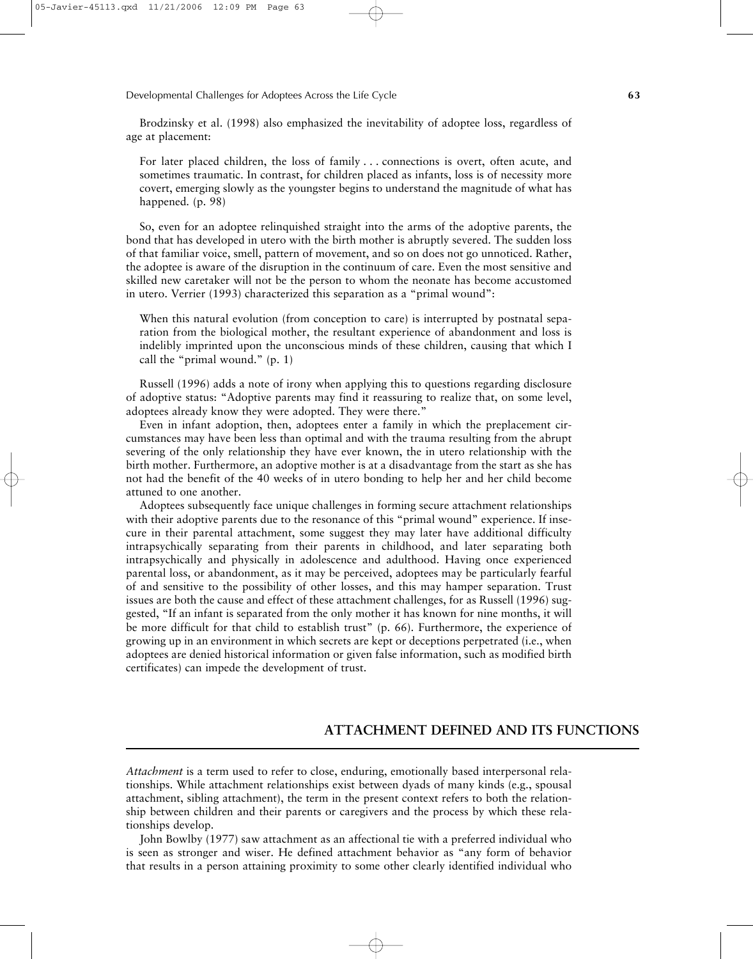Brodzinsky et al. (1998) also emphasized the inevitability of adoptee loss, regardless of age at placement:

For later placed children, the loss of family ... connections is overt, often acute, and sometimes traumatic. In contrast, for children placed as infants, loss is of necessity more covert, emerging slowly as the youngster begins to understand the magnitude of what has happened*.* (p. 98)

So, even for an adoptee relinquished straight into the arms of the adoptive parents, the bond that has developed in utero with the birth mother is abruptly severed. The sudden loss of that familiar voice, smell, pattern of movement, and so on does not go unnoticed. Rather, the adoptee is aware of the disruption in the continuum of care. Even the most sensitive and skilled new caretaker will not be the person to whom the neonate has become accustomed in utero. Verrier (1993) characterized this separation as a "primal wound":

When this natural evolution (from conception to care) is interrupted by postnatal separation from the biological mother, the resultant experience of abandonment and loss is indelibly imprinted upon the unconscious minds of these children, causing that which I call the "primal wound." (p. 1)

Russell (1996) adds a note of irony when applying this to questions regarding disclosure of adoptive status: "Adoptive parents may find it reassuring to realize that, on some level, adoptees already know they were adopted. They were there."

Even in infant adoption, then, adoptees enter a family in which the preplacement circumstances may have been less than optimal and with the trauma resulting from the abrupt severing of the only relationship they have ever known, the in utero relationship with the birth mother. Furthermore, an adoptive mother is at a disadvantage from the start as she has not had the benefit of the 40 weeks of in utero bonding to help her and her child become attuned to one another.

Adoptees subsequently face unique challenges in forming secure attachment relationships with their adoptive parents due to the resonance of this "primal wound" experience. If insecure in their parental attachment, some suggest they may later have additional difficulty intrapsychically separating from their parents in childhood, and later separating both intrapsychically and physically in adolescence and adulthood. Having once experienced parental loss, or abandonment, as it may be perceived, adoptees may be particularly fearful of and sensitive to the possibility of other losses, and this may hamper separation. Trust issues are both the cause and effect of these attachment challenges, for as Russell (1996) suggested, "If an infant is separated from the only mother it has known for nine months, it will be more difficult for that child to establish trust" (p. 66). Furthermore, the experience of growing up in an environment in which secrets are kept or deceptions perpetrated (i.e., when adoptees are denied historical information or given false information, such as modified birth certificates) can impede the development of trust.

#### **ATTACHMENT DEFINED AND ITS FUNCTIONS**

*Attachment* is a term used to refer to close, enduring, emotionally based interpersonal relationships. While attachment relationships exist between dyads of many kinds (e.g., spousal attachment, sibling attachment), the term in the present context refers to both the relationship between children and their parents or caregivers and the process by which these relationships develop.

John Bowlby (1977) saw attachment as an affectional tie with a preferred individual who is seen as stronger and wiser. He defined attachment behavior as "any form of behavior that results in a person attaining proximity to some other clearly identified individual who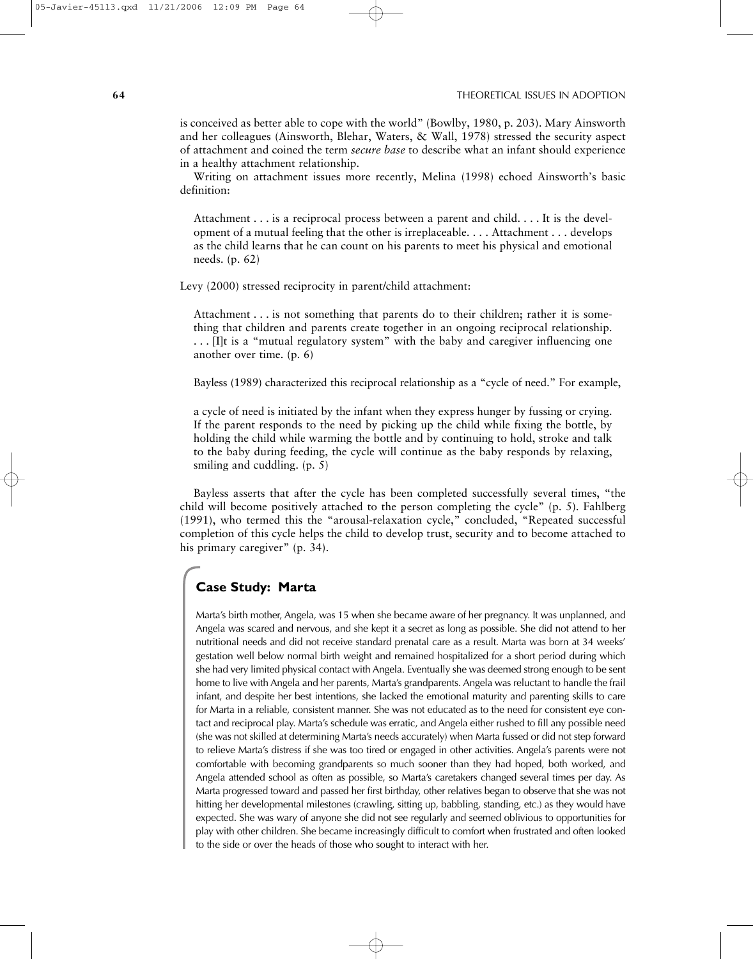is conceived as better able to cope with the world" (Bowlby, 1980, p. 203). Mary Ainsworth and her colleagues (Ainsworth, Blehar, Waters, & Wall, 1978) stressed the security aspect of attachment and coined the term *secure base* to describe what an infant should experience in a healthy attachment relationship.

Writing on attachment issues more recently, Melina (1998) echoed Ainsworth's basic definition:

Attachment . . . is a reciprocal process between a parent and child. . . . It is the development of a mutual feeling that the other is irreplaceable. . . . Attachment . . . develops as the child learns that he can count on his parents to meet his physical and emotional needs. (p. 62)

Levy (2000) stressed reciprocity in parent/child attachment:

Attachment . . . is not something that parents do to their children; rather it is something that children and parents create together in an ongoing reciprocal relationship. . . . [I]t is a "mutual regulatory system" with the baby and caregiver influencing one another over time. (p. 6)

Bayless (1989) characterized this reciprocal relationship as a "cycle of need." For example,

a cycle of need is initiated by the infant when they express hunger by fussing or crying. If the parent responds to the need by picking up the child while fixing the bottle, by holding the child while warming the bottle and by continuing to hold, stroke and talk to the baby during feeding, the cycle will continue as the baby responds by relaxing, smiling and cuddling. (p. 5)

Bayless asserts that after the cycle has been completed successfully several times, "the child will become positively attached to the person completing the cycle" (p. 5). Fahlberg (1991), who termed this the "arousal-relaxation cycle," concluded, "Repeated successful completion of this cycle helps the child to develop trust, security and to become attached to his primary caregiver" (p. 34).

#### **Case Study: Marta**

Marta's birth mother, Angela, was 15 when she became aware of her pregnancy. It was unplanned, and Angela was scared and nervous, and she kept it a secret as long as possible. She did not attend to her nutritional needs and did not receive standard prenatal care as a result. Marta was born at 34 weeks' gestation well below normal birth weight and remained hospitalized for a short period during which she had very limited physical contact with Angela. Eventually she was deemed strong enough to be sent home to live with Angela and her parents, Marta's grandparents. Angela was reluctant to handle the frail infant, and despite her best intentions, she lacked the emotional maturity and parenting skills to care for Marta in a reliable, consistent manner. She was not educated as to the need for consistent eye contact and reciprocal play. Marta's schedule was erratic, and Angela either rushed to fill any possible need (she was not skilled at determining Marta's needs accurately) when Marta fussed or did not step forward to relieve Marta's distress if she was too tired or engaged in other activities. Angela's parents were not comfortable with becoming grandparents so much sooner than they had hoped, both worked, and Angela attended school as often as possible, so Marta's caretakers changed several times per day. As Marta progressed toward and passed her first birthday, other relatives began to observe that she was not hitting her developmental milestones (crawling, sitting up, babbling, standing, etc.) as they would have expected. She was wary of anyone she did not see regularly and seemed oblivious to opportunities for play with other children. She became increasingly difficult to comfort when frustrated and often looked to the side or over the heads of those who sought to interact with her.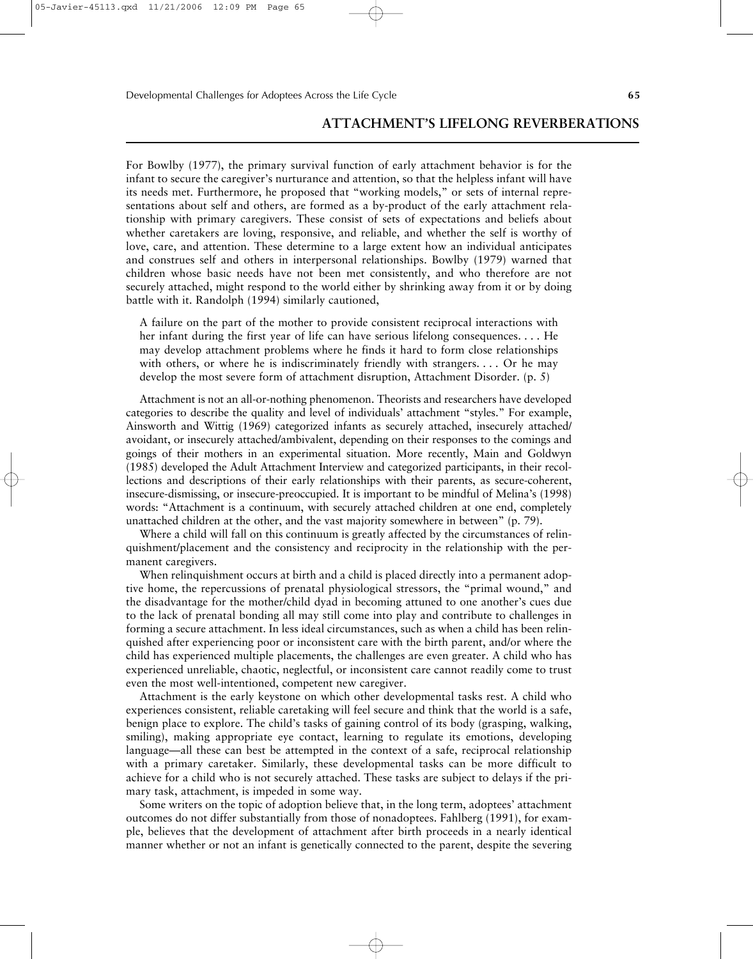#### **ATTACHMENT'S LIFELONG REVERBERATIONS**

For Bowlby (1977), the primary survival function of early attachment behavior is for the infant to secure the caregiver's nurturance and attention, so that the helpless infant will have its needs met. Furthermore, he proposed that "working models," or sets of internal representations about self and others, are formed as a by-product of the early attachment relationship with primary caregivers. These consist of sets of expectations and beliefs about whether caretakers are loving, responsive, and reliable, and whether the self is worthy of love, care, and attention. These determine to a large extent how an individual anticipates and construes self and others in interpersonal relationships. Bowlby (1979) warned that children whose basic needs have not been met consistently, and who therefore are not securely attached, might respond to the world either by shrinking away from it or by doing battle with it. Randolph (1994) similarly cautioned,

A failure on the part of the mother to provide consistent reciprocal interactions with her infant during the first year of life can have serious lifelong consequences. . . . He may develop attachment problems where he finds it hard to form close relationships with others, or where he is indiscriminately friendly with strangers.... Or he may develop the most severe form of attachment disruption, Attachment Disorder. (p. 5)

Attachment is not an all-or-nothing phenomenon. Theorists and researchers have developed categories to describe the quality and level of individuals' attachment "styles." For example, Ainsworth and Wittig (1969) categorized infants as securely attached, insecurely attached/ avoidant, or insecurely attached/ambivalent, depending on their responses to the comings and goings of their mothers in an experimental situation. More recently, Main and Goldwyn (1985) developed the Adult Attachment Interview and categorized participants, in their recollections and descriptions of their early relationships with their parents, as secure-coherent, insecure-dismissing, or insecure-preoccupied. It is important to be mindful of Melina's (1998) words: "Attachment is a continuum, with securely attached children at one end, completely unattached children at the other, and the vast majority somewhere in between" (p. 79).

Where a child will fall on this continuum is greatly affected by the circumstances of relinquishment/placement and the consistency and reciprocity in the relationship with the permanent caregivers.

When relinquishment occurs at birth and a child is placed directly into a permanent adoptive home, the repercussions of prenatal physiological stressors, the "primal wound," and the disadvantage for the mother/child dyad in becoming attuned to one another's cues due to the lack of prenatal bonding all may still come into play and contribute to challenges in forming a secure attachment. In less ideal circumstances, such as when a child has been relinquished after experiencing poor or inconsistent care with the birth parent, and/or where the child has experienced multiple placements, the challenges are even greater. A child who has experienced unreliable, chaotic, neglectful, or inconsistent care cannot readily come to trust even the most well-intentioned, competent new caregiver.

Attachment is the early keystone on which other developmental tasks rest. A child who experiences consistent, reliable caretaking will feel secure and think that the world is a safe, benign place to explore. The child's tasks of gaining control of its body (grasping, walking, smiling), making appropriate eye contact, learning to regulate its emotions, developing language—all these can best be attempted in the context of a safe, reciprocal relationship with a primary caretaker. Similarly, these developmental tasks can be more difficult to achieve for a child who is not securely attached. These tasks are subject to delays if the primary task, attachment, is impeded in some way.

Some writers on the topic of adoption believe that, in the long term, adoptees' attachment outcomes do not differ substantially from those of nonadoptees. Fahlberg (1991), for example, believes that the development of attachment after birth proceeds in a nearly identical manner whether or not an infant is genetically connected to the parent, despite the severing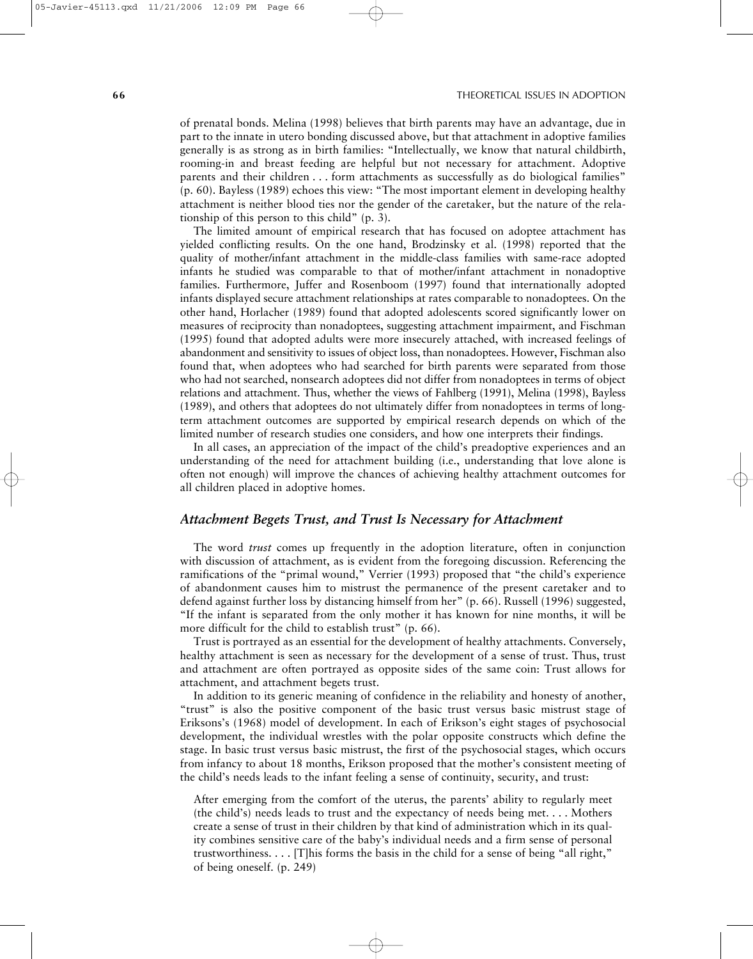of prenatal bonds. Melina (1998) believes that birth parents may have an advantage, due in part to the innate in utero bonding discussed above, but that attachment in adoptive families generally is as strong as in birth families: "Intellectually, we know that natural childbirth, rooming-in and breast feeding are helpful but not necessary for attachment. Adoptive parents and their children . . . form attachments as successfully as do biological families" (p. 60). Bayless (1989) echoes this view: "The most important element in developing healthy attachment is neither blood ties nor the gender of the caretaker, but the nature of the relationship of this person to this child" (p. 3).

The limited amount of empirical research that has focused on adoptee attachment has yielded conflicting results. On the one hand, Brodzinsky et al. (1998) reported that the quality of mother/infant attachment in the middle-class families with same-race adopted infants he studied was comparable to that of mother/infant attachment in nonadoptive families. Furthermore, Juffer and Rosenboom (1997) found that internationally adopted infants displayed secure attachment relationships at rates comparable to nonadoptees. On the other hand, Horlacher (1989) found that adopted adolescents scored significantly lower on measures of reciprocity than nonadoptees, suggesting attachment impairment, and Fischman (1995) found that adopted adults were more insecurely attached, with increased feelings of abandonment and sensitivity to issues of object loss, than nonadoptees. However, Fischman also found that, when adoptees who had searched for birth parents were separated from those who had not searched, nonsearch adoptees did not differ from nonadoptees in terms of object relations and attachment. Thus, whether the views of Fahlberg (1991), Melina (1998), Bayless (1989), and others that adoptees do not ultimately differ from nonadoptees in terms of longterm attachment outcomes are supported by empirical research depends on which of the limited number of research studies one considers, and how one interprets their findings.

In all cases, an appreciation of the impact of the child's preadoptive experiences and an understanding of the need for attachment building (i.e., understanding that love alone is often not enough) will improve the chances of achieving healthy attachment outcomes for all children placed in adoptive homes.

#### *Attachment Begets Trust, and Trust Is Necessary for Attachment*

The word *trust* comes up frequently in the adoption literature, often in conjunction with discussion of attachment, as is evident from the foregoing discussion. Referencing the ramifications of the "primal wound," Verrier (1993) proposed that "the child's experience of abandonment causes him to mistrust the permanence of the present caretaker and to defend against further loss by distancing himself from her" (p. 66). Russell (1996) suggested, "If the infant is separated from the only mother it has known for nine months, it will be more difficult for the child to establish trust" (p. 66).

Trust is portrayed as an essential for the development of healthy attachments. Conversely, healthy attachment is seen as necessary for the development of a sense of trust. Thus, trust and attachment are often portrayed as opposite sides of the same coin: Trust allows for attachment, and attachment begets trust.

In addition to its generic meaning of confidence in the reliability and honesty of another, "trust" is also the positive component of the basic trust versus basic mistrust stage of Eriksons's (1968) model of development. In each of Erikson's eight stages of psychosocial development, the individual wrestles with the polar opposite constructs which define the stage. In basic trust versus basic mistrust, the first of the psychosocial stages, which occurs from infancy to about 18 months, Erikson proposed that the mother's consistent meeting of the child's needs leads to the infant feeling a sense of continuity, security, and trust:

After emerging from the comfort of the uterus, the parents' ability to regularly meet (the child's) needs leads to trust and the expectancy of needs being met. . . . Mothers create a sense of trust in their children by that kind of administration which in its quality combines sensitive care of the baby's individual needs and a firm sense of personal trustworthiness. . . . [T]his forms the basis in the child for a sense of being "all right," of being oneself. (p. 249)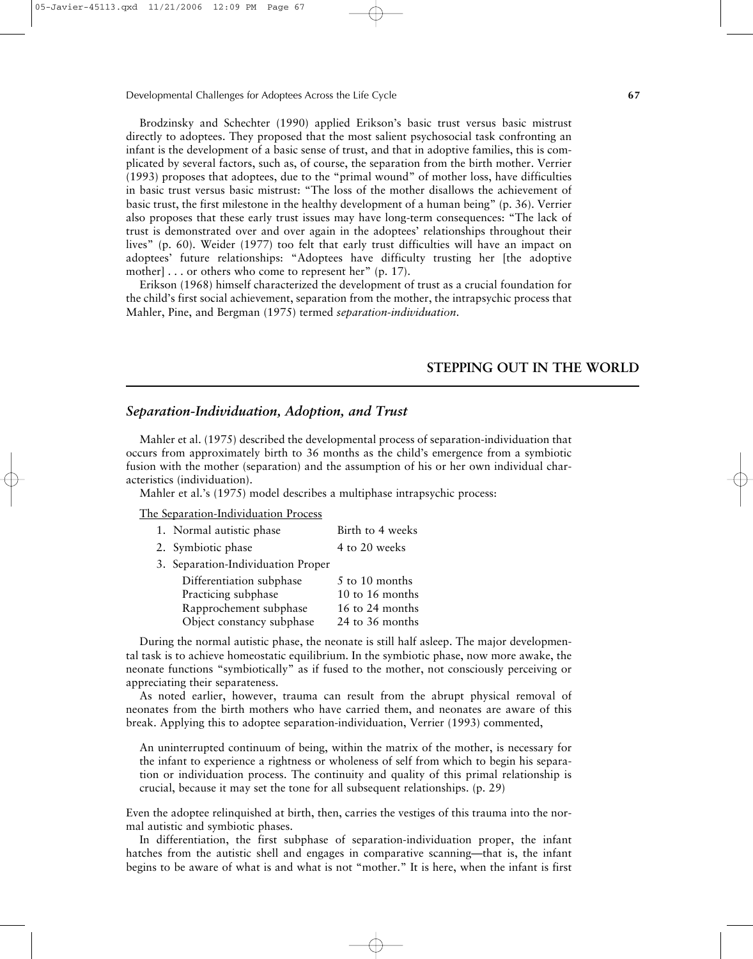Brodzinsky and Schechter (1990) applied Erikson's basic trust versus basic mistrust directly to adoptees. They proposed that the most salient psychosocial task confronting an infant is the development of a basic sense of trust, and that in adoptive families, this is complicated by several factors, such as, of course, the separation from the birth mother. Verrier (1993) proposes that adoptees, due to the "primal wound" of mother loss, have difficulties in basic trust versus basic mistrust: "The loss of the mother disallows the achievement of basic trust, the first milestone in the healthy development of a human being" (p. 36). Verrier also proposes that these early trust issues may have long-term consequences: "The lack of trust is demonstrated over and over again in the adoptees' relationships throughout their lives" (p. 60). Weider (1977) too felt that early trust difficulties will have an impact on adoptees' future relationships: "Adoptees have difficulty trusting her [the adoptive mother] . . . or others who come to represent her" (p. 17).

Erikson (1968) himself characterized the development of trust as a crucial foundation for the child's first social achievement, separation from the mother, the intrapsychic process that Mahler, Pine, and Bergman (1975) termed *separation-individuation*.

#### **STEPPING OUT IN THE WORLD**

#### *Separation-Individuation, Adoption, and Trust*

Mahler et al. (1975) described the developmental process of separation-individuation that occurs from approximately birth to 36 months as the child's emergence from a symbiotic fusion with the mother (separation) and the assumption of his or her own individual characteristics (individuation).

Mahler et al.'s (1975) model describes a multiphase intrapsychic process:

#### The Separation-Individuation Process

| 1. Normal autistic phase | Birth to 4 weeks |
|--------------------------|------------------|
| 2. Symbiotic phase       | 4 to 20 weeks    |

3. Separation-Individuation Proper

| Differentiation subphase  | 5 to 10 months  |
|---------------------------|-----------------|
| Practicing subphase       | 10 to 16 months |
| Rapprochement subphase    | 16 to 24 months |
| Object constancy subphase | 24 to 36 months |

During the normal autistic phase, the neonate is still half asleep. The major developmental task is to achieve homeostatic equilibrium. In the symbiotic phase, now more awake, the neonate functions "symbiotically" as if fused to the mother, not consciously perceiving or appreciating their separateness.

As noted earlier, however, trauma can result from the abrupt physical removal of neonates from the birth mothers who have carried them, and neonates are aware of this break. Applying this to adoptee separation-individuation, Verrier (1993) commented,

An uninterrupted continuum of being, within the matrix of the mother, is necessary for the infant to experience a rightness or wholeness of self from which to begin his separation or individuation process. The continuity and quality of this primal relationship is crucial, because it may set the tone for all subsequent relationships. (p. 29)

Even the adoptee relinquished at birth, then, carries the vestiges of this trauma into the normal autistic and symbiotic phases.

In differentiation, the first subphase of separation-individuation proper, the infant hatches from the autistic shell and engages in comparative scanning—that is, the infant begins to be aware of what is and what is not "mother." It is here, when the infant is first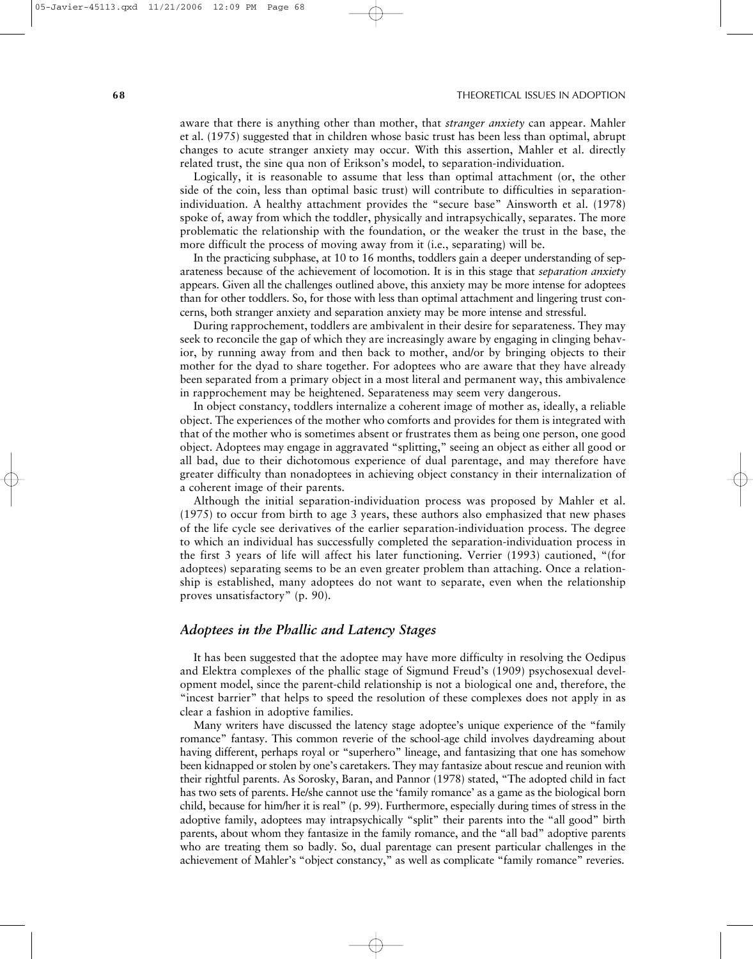aware that there is anything other than mother, that *stranger anxiety* can appear. Mahler et al. (1975) suggested that in children whose basic trust has been less than optimal, abrupt changes to acute stranger anxiety may occur. With this assertion, Mahler et al. directly related trust, the sine qua non of Erikson's model, to separation-individuation.

Logically, it is reasonable to assume that less than optimal attachment (or, the other side of the coin, less than optimal basic trust) will contribute to difficulties in separationindividuation. A healthy attachment provides the "secure base" Ainsworth et al. (1978) spoke of, away from which the toddler, physically and intrapsychically, separates. The more problematic the relationship with the foundation, or the weaker the trust in the base, the more difficult the process of moving away from it (i.e., separating) will be.

In the practicing subphase, at 10 to 16 months, toddlers gain a deeper understanding of separateness because of the achievement of locomotion. It is in this stage that *separation anxiety* appears. Given all the challenges outlined above, this anxiety may be more intense for adoptees than for other toddlers. So, for those with less than optimal attachment and lingering trust concerns, both stranger anxiety and separation anxiety may be more intense and stressful.

During rapprochement, toddlers are ambivalent in their desire for separateness. They may seek to reconcile the gap of which they are increasingly aware by engaging in clinging behavior, by running away from and then back to mother, and/or by bringing objects to their mother for the dyad to share together. For adoptees who are aware that they have already been separated from a primary object in a most literal and permanent way, this ambivalence in rapprochement may be heightened. Separateness may seem very dangerous.

In object constancy, toddlers internalize a coherent image of mother as, ideally, a reliable object. The experiences of the mother who comforts and provides for them is integrated with that of the mother who is sometimes absent or frustrates them as being one person, one good object. Adoptees may engage in aggravated "splitting," seeing an object as either all good or all bad, due to their dichotomous experience of dual parentage, and may therefore have greater difficulty than nonadoptees in achieving object constancy in their internalization of a coherent image of their parents.

Although the initial separation-individuation process was proposed by Mahler et al. (1975) to occur from birth to age 3 years, these authors also emphasized that new phases of the life cycle see derivatives of the earlier separation-individuation process. The degree to which an individual has successfully completed the separation-individuation process in the first 3 years of life will affect his later functioning. Verrier (1993) cautioned, "(for adoptees) separating seems to be an even greater problem than attaching. Once a relationship is established, many adoptees do not want to separate, even when the relationship proves unsatisfactory" (p. 90).

#### *Adoptees in the Phallic and Latency Stages*

It has been suggested that the adoptee may have more difficulty in resolving the Oedipus and Elektra complexes of the phallic stage of Sigmund Freud's (1909) psychosexual development model, since the parent-child relationship is not a biological one and, therefore, the "incest barrier" that helps to speed the resolution of these complexes does not apply in as clear a fashion in adoptive families.

Many writers have discussed the latency stage adoptee's unique experience of the "family romance" fantasy. This common reverie of the school-age child involves daydreaming about having different, perhaps royal or "superhero" lineage, and fantasizing that one has somehow been kidnapped or stolen by one's caretakers. They may fantasize about rescue and reunion with their rightful parents. As Sorosky, Baran, and Pannor (1978) stated, "The adopted child in fact has two sets of parents. He/she cannot use the 'family romance' as a game as the biological born child, because for him/her it is real" (p. 99). Furthermore, especially during times of stress in the adoptive family, adoptees may intrapsychically "split" their parents into the "all good" birth parents, about whom they fantasize in the family romance, and the "all bad" adoptive parents who are treating them so badly. So, dual parentage can present particular challenges in the achievement of Mahler's "object constancy," as well as complicate "family romance" reveries.

05-Javier-45113.qxd 11/21/2006 12:09 PM Page 68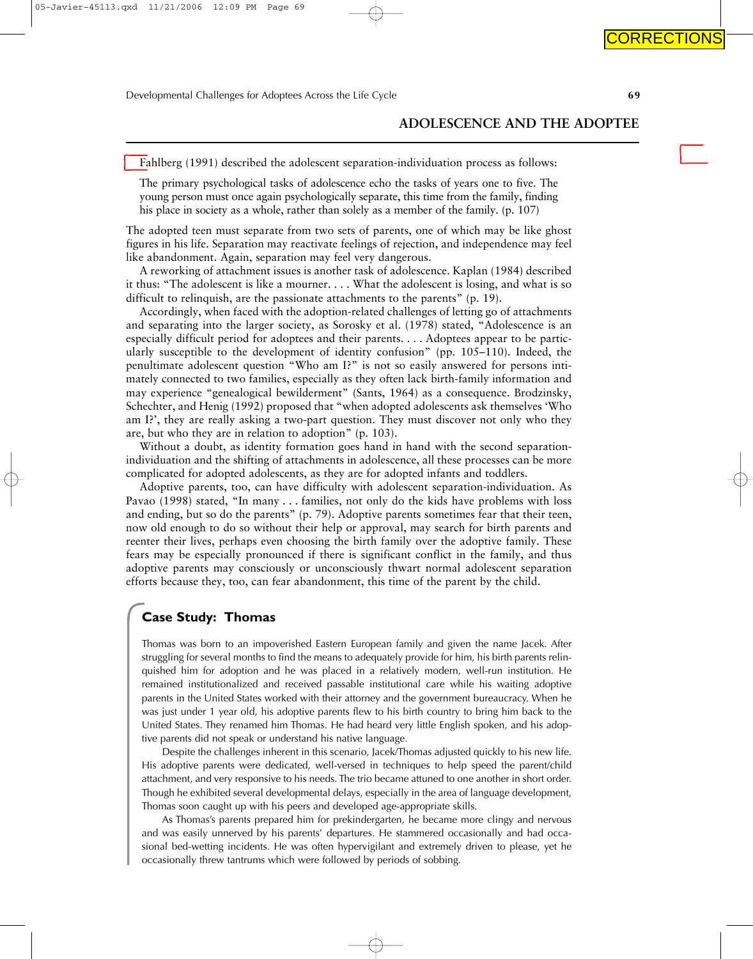#### DRRECTIONS

#### **ADOLESCENCE AND THE ADOPTEE**

Fahlberg (1991) described the adolescent separation-individuation process as follows:

The primary psychological tasks of adolescence echo the tasks of years one to five. The young person must once again psychologically separate, this time from the family, finding his place in society as a whole, rather than solely as a member of the family. (p. 107)

The adopted teen must separate from two sets of parents, one of which may be like ghost figures in his life. Separation may reactivate feelings of rejection, and independence may feel like abandonment. Again, separation may feel very dangerous.

A reworking of attachment issues is another task of adolescence. Kaplan (1984) described it thus: "The adolescent is like a mourner. . . . What the adolescent is losing, and what is so difficult to relinquish, are the passionate attachments to the parents" (p. 19).

Accordingly, when faced with the adoption-related challenges of letting go of attachments and separating into the larger society, as Sorosky et al. (1978) stated, "Adolescence is an especially difficult period for adoptees and their parents. . . . Adoptees appear to be particularly susceptible to the development of identity confusion" (pp. 105–110). Indeed, the penultimate adolescent question "Who am I?" is not so easily answered for persons intimately connected to two families, especially as they often lack birth-family information and may experience "genealogical bewilderment" (Sants, 1964) as a consequence. Brodzinsky, Schechter, and Henig (1992) proposed that "when adopted adolescents ask themselves 'Who am I?', they are really asking a two-part question. They must discover not only who they are, but who they are in relation to adoption" (p. 103).

Without a doubt, as identity formation goes hand in hand with the second separationindividuation and the shifting of attachments in adolescence, all these processes can be more complicated for adopted adolescents, as they are for adopted infants and toddlers.

Adoptive parents, too, can have difficulty with adolescent separation-individuation. As Pavao (1998) stated, "In many . . . families, not only do the kids have problems with loss and ending, but so do the parents" (p. 79). Adoptive parents sometimes fear that their teen, now old enough to do so without their help or approval, may search for birth parents and reenter their lives, perhaps even choosing the birth family over the adoptive family. These fears may be especially pronounced if there is significant conflict in the family, and thus adoptive parents may consciously or unconsciously thwart normal adolescent separation efforts because they, too, can fear abandonment, this time of the parent by the child.

#### **Case Study: Thomas**

Thomas was born to an impoverished Eastern European family and given the name Jacek. After struggling for several months to find the means to adequately provide for him, his birth parents relinquished him for adoption and he was placed in a relatively modern, well-run institution. He remained institutionalized and received passable institutional care while his waiting adoptive parents in the United States worked with their attorney and the government bureaucracy. When he was just under 1 year old, his adoptive parents flew to his birth country to bring him back to the United States. They renamed him Thomas. He had heard very little English spoken, and his adoptive parents did not speak or understand his native language.

Despite the challenges inherent in this scenario, Jacek/Thomas adjusted quickly to his new life. His adoptive parents were dedicated, well-versed in techniques to help speed the parent/child attachment, and very responsive to his needs. The trio became attuned to one another in short order. Though he exhibited several developmental delays, especially in the area of language development, Thomas soon caught up with his peers and developed age-appropriate skills.

As Thomas's parents prepared him for prekindergarten, he became more clingy and nervous and was easily unnerved by his parents' departures. He stammered occasionally and had occasional bed-wetting incidents. He was often hypervigilant and extremely driven to please, yet he occasionally threw tantrums which were followed by periods of sobbing.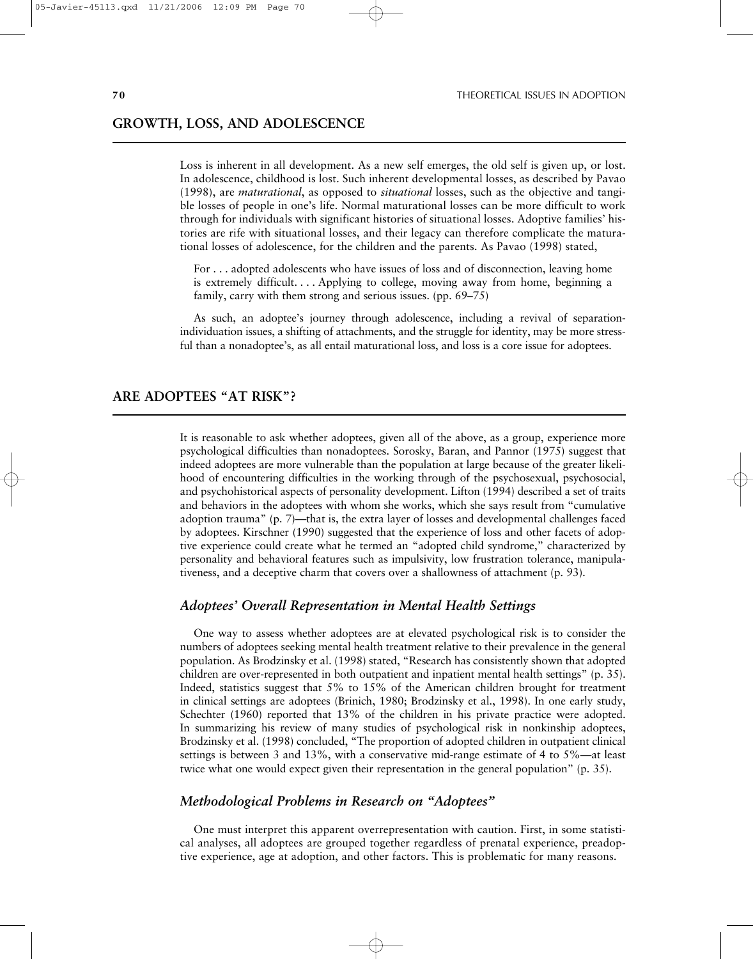#### **GROWTH, LOSS, AND ADOLESCENCE**

Loss is inherent in all development. As a new self emerges, the old self is given up, or lost. In adolescence, childhood is lost. Such inherent developmental losses, as described by Pavao (1998), are *maturational*, as opposed to *situational* losses, such as the objective and tangible losses of people in one's life. Normal maturational losses can be more difficult to work through for individuals with significant histories of situational losses. Adoptive families' histories are rife with situational losses, and their legacy can therefore complicate the maturational losses of adolescence, for the children and the parents. As Pavao (1998) stated,

For . . . adopted adolescents who have issues of loss and of disconnection, leaving home is extremely difficult. . . . Applying to college, moving away from home, beginning a family, carry with them strong and serious issues. (pp. 69–75)

As such, an adoptee's journey through adolescence, including a revival of separationindividuation issues, a shifting of attachments, and the struggle for identity, may be more stressful than a nonadoptee's, as all entail maturational loss, and loss is a core issue for adoptees.

#### **ARE ADOPTEES "AT RISK"?**

It is reasonable to ask whether adoptees, given all of the above, as a group, experience more psychological difficulties than nonadoptees. Sorosky, Baran, and Pannor (1975) suggest that indeed adoptees are more vulnerable than the population at large because of the greater likelihood of encountering difficulties in the working through of the psychosexual, psychosocial, and psychohistorical aspects of personality development. Lifton (1994) described a set of traits and behaviors in the adoptees with whom she works, which she says result from "cumulative adoption trauma" (p. 7)—that is, the extra layer of losses and developmental challenges faced by adoptees. Kirschner (1990) suggested that the experience of loss and other facets of adoptive experience could create what he termed an "adopted child syndrome," characterized by personality and behavioral features such as impulsivity, low frustration tolerance, manipulativeness, and a deceptive charm that covers over a shallowness of attachment (p. 93).

#### *Adoptees' Overall Representation in Mental Health Settings*

One way to assess whether adoptees are at elevated psychological risk is to consider the numbers of adoptees seeking mental health treatment relative to their prevalence in the general population. As Brodzinsky et al. (1998) stated, "Research has consistently shown that adopted children are over-represented in both outpatient and inpatient mental health settings" (p. 35). Indeed, statistics suggest that 5% to 15% of the American children brought for treatment in clinical settings are adoptees (Brinich, 1980; Brodzinsky et al., 1998). In one early study, Schechter (1960) reported that 13% of the children in his private practice were adopted. In summarizing his review of many studies of psychological risk in nonkinship adoptees, Brodzinsky et al. (1998) concluded, "The proportion of adopted children in outpatient clinical settings is between 3 and 13%, with a conservative mid-range estimate of 4 to 5%—at least twice what one would expect given their representation in the general population" (p. 35).

#### *Methodological Problems in Research on "Adoptees"*

One must interpret this apparent overrepresentation with caution. First, in some statistical analyses, all adoptees are grouped together regardless of prenatal experience, preadoptive experience, age at adoption, and other factors. This is problematic for many reasons.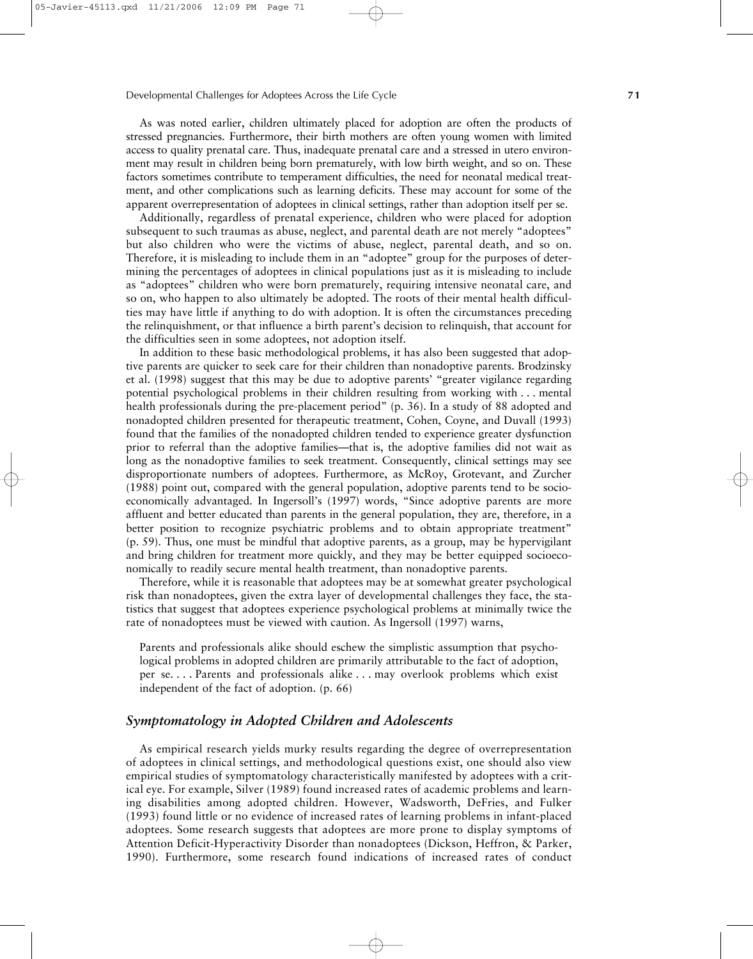As was noted earlier, children ultimately placed for adoption are often the products of stressed pregnancies. Furthermore, their birth mothers are often young women with limited access to quality prenatal care. Thus, inadequate prenatal care and a stressed in utero environment may result in children being born prematurely, with low birth weight, and so on. These factors sometimes contribute to temperament difficulties, the need for neonatal medical treatment, and other complications such as learning deficits. These may account for some of the apparent overrepresentation of adoptees in clinical settings, rather than adoption itself per se.

Additionally, regardless of prenatal experience, children who were placed for adoption subsequent to such traumas as abuse, neglect, and parental death are not merely "adoptees" but also children who were the victims of abuse, neglect, parental death, and so on. Therefore, it is misleading to include them in an "adoptee" group for the purposes of determining the percentages of adoptees in clinical populations just as it is misleading to include as "adoptees" children who were born prematurely, requiring intensive neonatal care, and so on, who happen to also ultimately be adopted. The roots of their mental health difficulties may have little if anything to do with adoption. It is often the circumstances preceding the relinquishment, or that influence a birth parent's decision to relinquish, that account for the difficulties seen in some adoptees, not adoption itself.

In addition to these basic methodological problems, it has also been suggested that adoptive parents are quicker to seek care for their children than nonadoptive parents. Brodzinsky et al. (1998) suggest that this may be due to adoptive parents' "greater vigilance regarding potential psychological problems in their children resulting from working with . . . mental health professionals during the pre-placement period" (p. 36). In a study of 88 adopted and nonadopted children presented for therapeutic treatment, Cohen, Coyne, and Duvall (1993) found that the families of the nonadopted children tended to experience greater dysfunction prior to referral than the adoptive families—that is, the adoptive families did not wait as long as the nonadoptive families to seek treatment. Consequently, clinical settings may see disproportionate numbers of adoptees. Furthermore, as McRoy, Grotevant, and Zurcher (1988) point out, compared with the general population, adoptive parents tend to be socioeconomically advantaged. In Ingersoll's (1997) words, "Since adoptive parents are more affluent and better educated than parents in the general population, they are, therefore, in a better position to recognize psychiatric problems and to obtain appropriate treatment" (p. 59). Thus, one must be mindful that adoptive parents, as a group, may be hypervigilant and bring children for treatment more quickly, and they may be better equipped socioeconomically to readily secure mental health treatment, than nonadoptive parents.

Therefore, while it is reasonable that adoptees may be at somewhat greater psychological risk than nonadoptees, given the extra layer of developmental challenges they face, the statistics that suggest that adoptees experience psychological problems at minimally twice the rate of nonadoptees must be viewed with caution. As Ingersoll (1997) warns,

Parents and professionals alike should eschew the simplistic assumption that psychological problems in adopted children are primarily attributable to the fact of adoption, per se. . . . Parents and professionals alike . . . may overlook problems which exist independent of the fact of adoption. (p. 66)

#### *Symptomatology in Adopted Children and Adolescents*

As empirical research yields murky results regarding the degree of overrepresentation of adoptees in clinical settings, and methodological questions exist, one should also view empirical studies of symptomatology characteristically manifested by adoptees with a critical eye. For example, Silver (1989) found increased rates of academic problems and learning disabilities among adopted children. However, Wadsworth, DeFries, and Fulker (1993) found little or no evidence of increased rates of learning problems in infant-placed adoptees. Some research suggests that adoptees are more prone to display symptoms of Attention Deficit-Hyperactivity Disorder than nonadoptees (Dickson, Heffron, & Parker, 1990). Furthermore, some research found indications of increased rates of conduct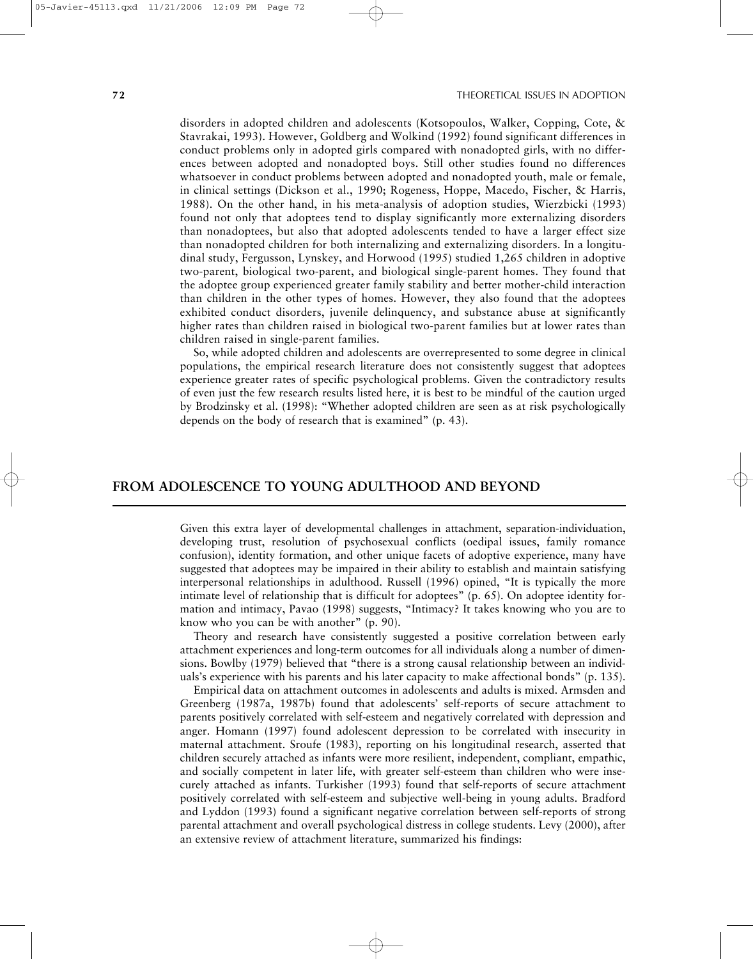disorders in adopted children and adolescents (Kotsopoulos, Walker, Copping, Cote, & Stavrakai, 1993). However, Goldberg and Wolkind (1992) found significant differences in conduct problems only in adopted girls compared with nonadopted girls, with no differences between adopted and nonadopted boys. Still other studies found no differences whatsoever in conduct problems between adopted and nonadopted youth, male or female, in clinical settings (Dickson et al., 1990; Rogeness, Hoppe, Macedo, Fischer, & Harris, 1988). On the other hand, in his meta-analysis of adoption studies, Wierzbicki (1993) found not only that adoptees tend to display significantly more externalizing disorders than nonadoptees, but also that adopted adolescents tended to have a larger effect size than nonadopted children for both internalizing and externalizing disorders. In a longitudinal study, Fergusson, Lynskey, and Horwood (1995) studied 1,265 children in adoptive two-parent, biological two-parent, and biological single-parent homes. They found that the adoptee group experienced greater family stability and better mother-child interaction than children in the other types of homes. However, they also found that the adoptees exhibited conduct disorders, juvenile delinquency, and substance abuse at significantly higher rates than children raised in biological two-parent families but at lower rates than children raised in single-parent families.

So, while adopted children and adolescents are overrepresented to some degree in clinical populations, the empirical research literature does not consistently suggest that adoptees experience greater rates of specific psychological problems. Given the contradictory results of even just the few research results listed here, it is best to be mindful of the caution urged by Brodzinsky et al. (1998): "Whether adopted children are seen as at risk psychologically depends on the body of research that is examined" (p. 43).

#### **FROM ADOLESCENCE TO YOUNG ADULTHOOD AND BEYOND**

Given this extra layer of developmental challenges in attachment, separation-individuation, developing trust, resolution of psychosexual conflicts (oedipal issues, family romance confusion), identity formation, and other unique facets of adoptive experience, many have suggested that adoptees may be impaired in their ability to establish and maintain satisfying interpersonal relationships in adulthood. Russell (1996) opined, "It is typically the more intimate level of relationship that is difficult for adoptees" (p. 65). On adoptee identity formation and intimacy, Pavao (1998) suggests, "Intimacy? It takes knowing who you are to know who you can be with another" (p. 90).

Theory and research have consistently suggested a positive correlation between early attachment experiences and long-term outcomes for all individuals along a number of dimensions. Bowlby (1979) believed that "there is a strong causal relationship between an individuals's experience with his parents and his later capacity to make affectional bonds" (p. 135).

Empirical data on attachment outcomes in adolescents and adults is mixed. Armsden and Greenberg (1987a, 1987b) found that adolescents' self-reports of secure attachment to parents positively correlated with self-esteem and negatively correlated with depression and anger. Homann (1997) found adolescent depression to be correlated with insecurity in maternal attachment. Sroufe (1983), reporting on his longitudinal research, asserted that children securely attached as infants were more resilient, independent, compliant, empathic, and socially competent in later life, with greater self-esteem than children who were insecurely attached as infants. Turkisher (1993) found that self-reports of secure attachment positively correlated with self-esteem and subjective well-being in young adults. Bradford and Lyddon (1993) found a significant negative correlation between self-reports of strong parental attachment and overall psychological distress in college students. Levy (2000), after an extensive review of attachment literature, summarized his findings: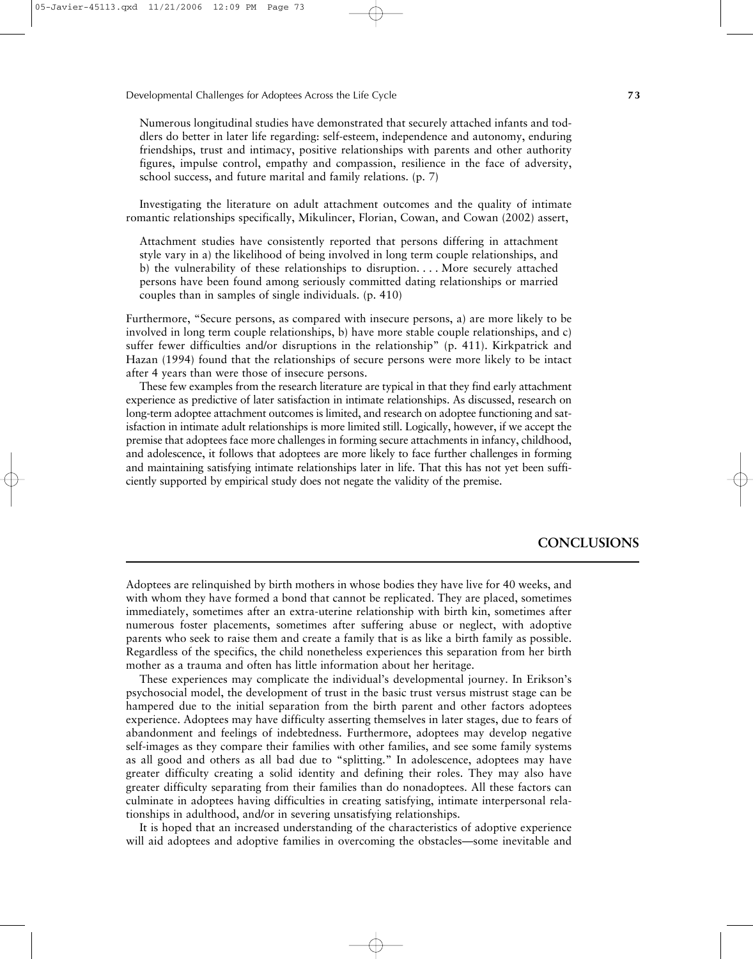Numerous longitudinal studies have demonstrated that securely attached infants and toddlers do better in later life regarding: self-esteem, independence and autonomy, enduring friendships, trust and intimacy, positive relationships with parents and other authority figures, impulse control, empathy and compassion, resilience in the face of adversity, school success, and future marital and family relations. (p. 7)

Investigating the literature on adult attachment outcomes and the quality of intimate romantic relationships specifically, Mikulincer, Florian, Cowan, and Cowan (2002) assert,

Attachment studies have consistently reported that persons differing in attachment style vary in a) the likelihood of being involved in long term couple relationships, and b) the vulnerability of these relationships to disruption. . . . More securely attached persons have been found among seriously committed dating relationships or married couples than in samples of single individuals. (p. 410)

Furthermore, "Secure persons, as compared with insecure persons, a) are more likely to be involved in long term couple relationships, b) have more stable couple relationships, and c) suffer fewer difficulties and/or disruptions in the relationship" (p. 411). Kirkpatrick and Hazan (1994) found that the relationships of secure persons were more likely to be intact after 4 years than were those of insecure persons.

These few examples from the research literature are typical in that they find early attachment experience as predictive of later satisfaction in intimate relationships. As discussed, research on long-term adoptee attachment outcomes is limited, and research on adoptee functioning and satisfaction in intimate adult relationships is more limited still. Logically, however, if we accept the premise that adoptees face more challenges in forming secure attachments in infancy, childhood, and adolescence, it follows that adoptees are more likely to face further challenges in forming and maintaining satisfying intimate relationships later in life. That this has not yet been sufficiently supported by empirical study does not negate the validity of the premise.

#### **CONCLUSIONS**

Adoptees are relinquished by birth mothers in whose bodies they have live for 40 weeks, and with whom they have formed a bond that cannot be replicated. They are placed, sometimes immediately, sometimes after an extra-uterine relationship with birth kin, sometimes after numerous foster placements, sometimes after suffering abuse or neglect, with adoptive parents who seek to raise them and create a family that is as like a birth family as possible. Regardless of the specifics, the child nonetheless experiences this separation from her birth mother as a trauma and often has little information about her heritage.

These experiences may complicate the individual's developmental journey. In Erikson's psychosocial model, the development of trust in the basic trust versus mistrust stage can be hampered due to the initial separation from the birth parent and other factors adoptees experience. Adoptees may have difficulty asserting themselves in later stages, due to fears of abandonment and feelings of indebtedness. Furthermore, adoptees may develop negative self-images as they compare their families with other families, and see some family systems as all good and others as all bad due to "splitting." In adolescence, adoptees may have greater difficulty creating a solid identity and defining their roles. They may also have greater difficulty separating from their families than do nonadoptees. All these factors can culminate in adoptees having difficulties in creating satisfying, intimate interpersonal relationships in adulthood, and/or in severing unsatisfying relationships.

It is hoped that an increased understanding of the characteristics of adoptive experience will aid adoptees and adoptive families in overcoming the obstacles—some inevitable and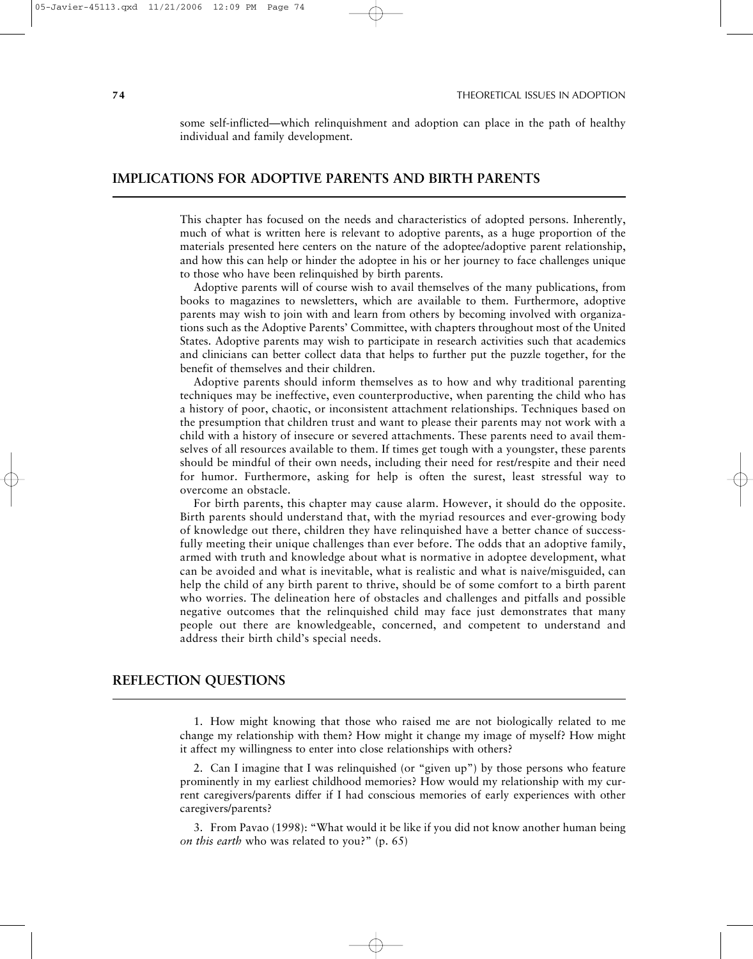some self-inflicted—which relinquishment and adoption can place in the path of healthy individual and family development.

#### **IMPLICATIONS FOR ADOPTIVE PARENTS AND BIRTH PARENTS**

This chapter has focused on the needs and characteristics of adopted persons. Inherently, much of what is written here is relevant to adoptive parents, as a huge proportion of the materials presented here centers on the nature of the adoptee/adoptive parent relationship, and how this can help or hinder the adoptee in his or her journey to face challenges unique to those who have been relinquished by birth parents.

Adoptive parents will of course wish to avail themselves of the many publications, from books to magazines to newsletters, which are available to them. Furthermore, adoptive parents may wish to join with and learn from others by becoming involved with organizations such as the Adoptive Parents' Committee, with chapters throughout most of the United States. Adoptive parents may wish to participate in research activities such that academics and clinicians can better collect data that helps to further put the puzzle together, for the benefit of themselves and their children.

Adoptive parents should inform themselves as to how and why traditional parenting techniques may be ineffective, even counterproductive, when parenting the child who has a history of poor, chaotic, or inconsistent attachment relationships. Techniques based on the presumption that children trust and want to please their parents may not work with a child with a history of insecure or severed attachments. These parents need to avail themselves of all resources available to them. If times get tough with a youngster, these parents should be mindful of their own needs, including their need for rest/respite and their need for humor. Furthermore, asking for help is often the surest, least stressful way to overcome an obstacle.

For birth parents, this chapter may cause alarm. However, it should do the opposite. Birth parents should understand that, with the myriad resources and ever-growing body of knowledge out there, children they have relinquished have a better chance of successfully meeting their unique challenges than ever before. The odds that an adoptive family, armed with truth and knowledge about what is normative in adoptee development, what can be avoided and what is inevitable, what is realistic and what is naive/misguided, can help the child of any birth parent to thrive, should be of some comfort to a birth parent who worries. The delineation here of obstacles and challenges and pitfalls and possible negative outcomes that the relinquished child may face just demonstrates that many people out there are knowledgeable, concerned, and competent to understand and address their birth child's special needs.

#### **REFLECTION QUESTIONS**

1. How might knowing that those who raised me are not biologically related to me change my relationship with them? How might it change my image of myself? How might it affect my willingness to enter into close relationships with others?

2. Can I imagine that I was relinquished (or "given up") by those persons who feature prominently in my earliest childhood memories? How would my relationship with my current caregivers/parents differ if I had conscious memories of early experiences with other caregivers/parents?

3. From Pavao (1998): "What would it be like if you did not know another human being *on this earth* who was related to you?" (p. 65)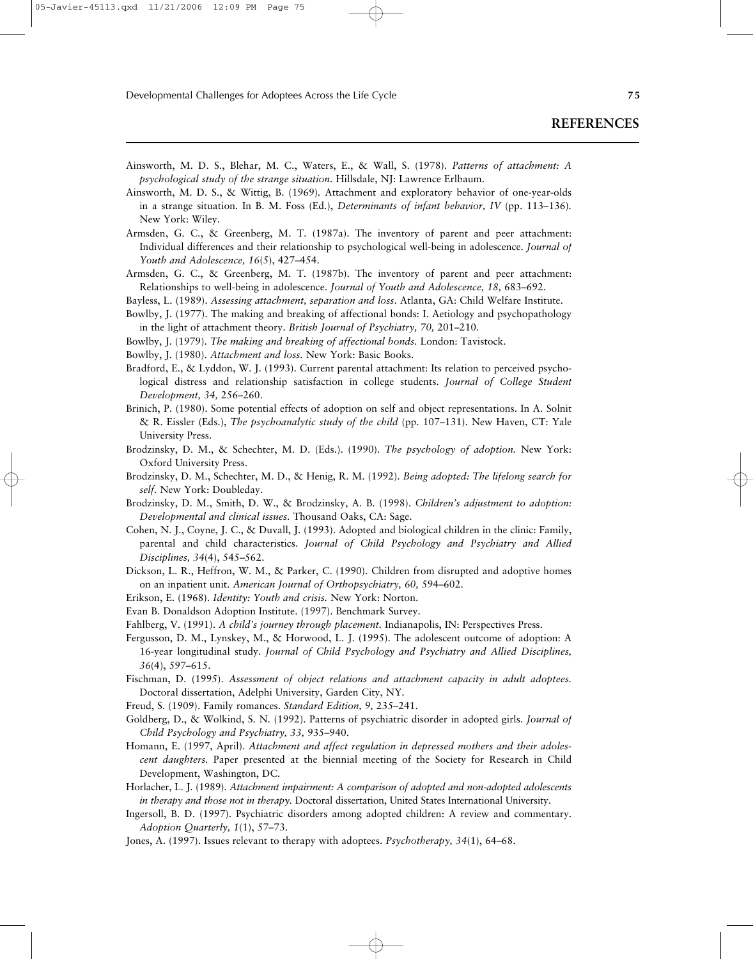#### **REFERENCES**

- Ainsworth, M. D. S., Blehar, M. C., Waters, E., & Wall, S. (1978). *Patterns of attachment: A psychological study of the strange situation.* Hillsdale, NJ: Lawrence Erlbaum.
- Ainsworth, M. D. S., & Wittig, B. (1969)*.* Attachment and exploratory behavior of one-year-olds in a strange situation*.* In B. M. Foss (Ed.), *Determinants of infant behavior, IV* (pp. 113–136)*.* New York: Wiley.
- Armsden, G. C., & Greenberg, M. T. (1987a). The inventory of parent and peer attachment: Individual differences and their relationship to psychological well-being in adolescence. *Journal of Youth and Adolescence, 16*(5), 427–454.
- Armsden, G. C., & Greenberg, M. T. (1987b). The inventory of parent and peer attachment: Relationships to well-being in adolescence. *Journal of Youth and Adolescence, 18,* 683–692.
- Bayless, L. (1989). *Assessing attachment, separation and loss*. Atlanta, GA: Child Welfare Institute.
- Bowlby, J. (1977). The making and breaking of affectional bonds: I. Aetiology and psychopathology in the light of attachment theory. *British Journal of Psychiatry, 70,* 201–210.
- Bowlby, J. (1979). *The making and breaking of affectional bonds.* London: Tavistock.

Bowlby, J. (1980). *Attachment and loss.* New York: Basic Books.

- Bradford, E., & Lyddon, W. J. (1993). Current parental attachment: Its relation to perceived psychological distress and relationship satisfaction in college students. *Journal of College Student Development, 34,* 256–260.
- Brinich, P. (1980). Some potential effects of adoption on self and object representations. In A. Solnit & R. Eissler (Eds.), *The psychoanalytic study of the child* (pp. 107–131). New Haven, CT: Yale University Press.
- Brodzinsky, D. M., & Schechter, M. D. (Eds.). (1990). *The psychology of adoption.* New York: Oxford University Press.
- Brodzinsky, D. M., Schechter, M. D., & Henig, R. M. (1992). *Being adopted: The lifelong search for self.* New York: Doubleday.
- Brodzinsky, D. M., Smith, D. W., & Brodzinsky, A. B. (1998). *Children's adjustment to adoption: Developmental and clinical issues.* Thousand Oaks, CA: Sage.
- Cohen, N. J., Coyne, J. C., & Duvall, J. (1993). Adopted and biological children in the clinic: Family, parental and child characteristics. *Journal of Child Psychology and Psychiatry and Allied Disciplines, 34*(4), 545–562.
- Dickson, L. R., Heffron, W. M., & Parker, C. (1990). Children from disrupted and adoptive homes on an inpatient unit. *American Journal of Orthopsychiatry, 60,* 594–602.
- Erikson, E. (1968). *Identity: Youth and crisis.* New York: Norton.
- Evan B. Donaldson Adoption Institute. (1997). Benchmark Survey.
- Fahlberg, V. (1991). *A child's journey through placement.* Indianapolis, IN: Perspectives Press.
- Fergusson, D. M., Lynskey, M., & Horwood, L. J. (1995). The adolescent outcome of adoption: A 16-year longitudinal study. *Journal of Child Psychology and Psychiatry and Allied Disciplines, 36*(4), 597–615.
- Fischman, D. (1995). *Assessment of object relations and attachment capacity in adult adoptees.* Doctoral dissertation, Adelphi University, Garden City, NY.

Freud, S. (1909). Family romances. *Standard Edition, 9,* 235–241.

- Goldberg, D., & Wolkind, S. N. (1992). Patterns of psychiatric disorder in adopted girls. *Journal of Child Psychology and Psychiatry, 33,* 935–940.
- Homann, E. (1997, April). *Attachment and affect regulation in depressed mothers and their adolescent daughters.* Paper presented at the biennial meeting of the Society for Research in Child Development, Washington, DC.
- Horlacher, L. J. (1989). *Attachment impairment: A comparison of adopted and non-adopted adolescents in therapy and those not in therapy.* Doctoral dissertation, United States International University.
- Ingersoll, B. D. (1997). Psychiatric disorders among adopted children: A review and commentary. *Adoption Quarterly, 1*(1), 57–73.
- Jones, A. (1997). Issues relevant to therapy with adoptees. *Psychotherapy, 34*(1), 64–68.